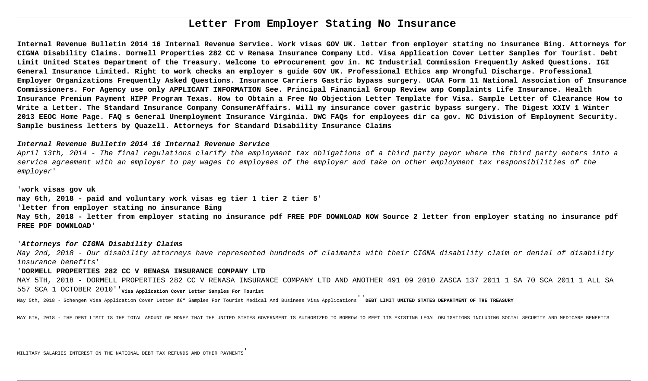# **Letter From Employer Stating No Insurance**

**Internal Revenue Bulletin 2014 16 Internal Revenue Service. Work visas GOV UK. letter from employer stating no insurance Bing. Attorneys for CIGNA Disability Claims. Dormell Properties 282 CC v Renasa Insurance Company Ltd. Visa Application Cover Letter Samples for Tourist. Debt Limit United States Department of the Treasury. Welcome to eProcurement gov in. NC Industrial Commission Frequently Asked Questions. IGI General Insurance Limited. Right to work checks an employer s guide GOV UK. Professional Ethics amp Wrongful Discharge. Professional Employer Organizations Frequently Asked Questions. Insurance Carriers Gastric bypass surgery. UCAA Form 11 National Association of Insurance Commissioners. For Agency use only APPLICANT INFORMATION See. Principal Financial Group Review amp Complaints Life Insurance. Health Insurance Premium Payment HIPP Program Texas. How to Obtain a Free No Objection Letter Template for Visa. Sample Letter of Clearance How to Write a Letter. The Standard Insurance Company ConsumerAffairs. Will my insurance cover gastric bypass surgery. The Digest XXIV 1 Winter 2013 EEOC Home Page. FAQ s General Unemployment Insurance Virginia. DWC FAQs for employees dir ca gov. NC Division of Employment Security. Sample business letters by Quazell. Attorneys for Standard Disability Insurance Claims**

## **Internal Revenue Bulletin 2014 16 Internal Revenue Service**

April 13th, 2014 - The final regulations clarify the employment tax obligations of a third party payor where the third party enters into a service agreement with an employer to pay wages to employees of the employer and take on other employment tax responsibilities of the employer'

'**work visas gov uk**

**may 6th, 2018 - paid and voluntary work visas eg tier 1 tier 2 tier 5**'

'**letter from employer stating no insurance Bing**

**May 5th, 2018 - letter from employer stating no insurance pdf FREE PDF DOWNLOAD NOW Source 2 letter from employer stating no insurance pdf FREE PDF DOWNLOAD**'

# '**Attorneys for CIGNA Disability Claims**

May 2nd, 2018 - Our disability attorneys have represented hundreds of claimants with their CIGNA disability claim or denial of disability insurance benefits'

# '**DORMELL PROPERTIES 282 CC V RENASA INSURANCE COMPANY LTD**

MAY 5TH, 2018 - DORMELL PROPERTIES 282 CC V RENASA INSURANCE COMPANY LTD AND ANOTHER 491 09 2010 ZASCA 137 2011 1 SA 70 SCA 2011 1 ALL SA 557 SCA 1 OCTOBER 2010''**Visa Application Cover Letter Samples For Tourist**

May 5th, 2018 - Schengen Visa Application Cover Letter â€" Samples For Tourist Medical And Business Visa Applications<sup>'</sup> DEBT LIMIT UNITED STATES DEPARTMENT OF THE TREASURY

MAY 6TH, 2018 - THE DEBT LIMIT IS THE TOTAL AMOUNT OF MONEY THAT THE UNITED STATES GOVERNMENT IS AUTHORIZED TO BORROW TO MEET ITS EXISTING LEGAL OBLIGATIONS INCLUDING SOCIAL SECURITY AND MEDICARE BENEFITS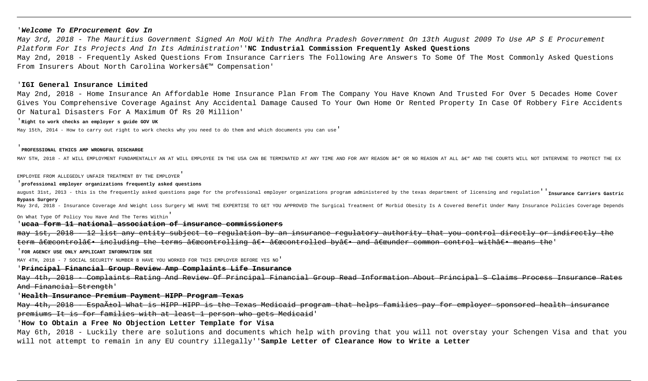### '**Welcome To EProcurement Gov In**

May 3rd, 2018 - The Mauritius Government Signed An MoU With The Andhra Pradesh Government On 13th August 2009 To Use AP S E Procurement Platform For Its Projects And In Its Administration''**NC Industrial Commission Frequently Asked Questions** May 2nd, 2018 - Frequently Asked Questions From Insurance Carriers The Following Are Answers To Some Of The Most Commonly Asked Questions From Insurers About North Carolina Workersâ€<sup>™</sup> Compensation'

## '**IGI General Insurance Limited**

May 2nd, 2018 - Home Insurance An Affordable Home Insurance Plan From The Company You Have Known And Trusted For Over 5 Decades Home Cover Gives You Comprehensive Coverage Against Any Accidental Damage Caused To Your Own Home Or Rented Property In Case Of Robbery Fire Accidents Or Natural Disasters For A Maximum Of Rs 20 Million'

# '**Right to work checks an employer s guide GOV UK**

May 15th, 2014 - How to carry out right to work checks why you need to do them and which documents you can use'

#### '**PROFESSIONAL ETHICS AMP WRONGFUL DISCHARGE**

MAY 5TH, 2018 - AT WILL EMPLOYMENT FUNDAMENTALLY AN AT WILL EMPLOYEE IN THE USA CAN BE TERMINATED AT ANY TIME AND FOR ANY REASON <del>A€</del> OR NO REASON AT ALL <del>A€</del> AND THE COURTS WILL NOT INTERVENE TO PROTECT THE EX

EMPLOYEE FROM ALLEGEDLY UNFAIR TREATMENT BY THE EMPLOYER

#### '**professional employer organizations frequently asked questions**

august 31st, 2013 - this is the frequently asked questions page for the professional employer organizations program administered by the texas department of licensing and regulation''**Insurance Carriers Gastric Bypass Surgery**

May 3rd, 2018 - Insurance Coverage And Weight Loss Surgery WE HAVE THE EXPERTISE TO GET YOU APPROVED The Surgical Treatment Of Morbid Obesity Is A Covered Benefit Under Many Insurance Policies Coverage Depends

On What Type Of Policy You Have And The Terms Within'

# '**ucaa form 11 national association of insurance commissioners**

may 1st, 2018 - 12 list any entity subject to regulation by an insurance regulatory authority that you control directly or indirectly the term <del>"control― including the terms "controlling ― "controlled by― and "under common control with― means the'</del>

## '**FOR AGENCY USE ONLY APPLICANT INFORMATION SEE**

MAY 4TH, 2018 - 7 SOCIAL SECURITY NUMBER 8 HAVE YOU WORKED FOR THIS EMPLOYER BEFORE YES NO'

# '**Principal Financial Group Review Amp Complaints Life Insurance**

May 4th, 2018 - Complaints Rating And Review Of Principal Financial Group Read Information About Principal S Claims Process Insurance Rates And Financial Strength'

# '**Health Insurance Premium Payment HIPP Program Texas**

May 4th, 2018 - Español What is HIPP HIPP is the Texas Medicaid program that helps families pay for employer sponsored health insurance premiums It is for families with at least 1 person who gets Medicaid'

# '**How to Obtain a Free No Objection Letter Template for Visa**

May 6th, 2018 - Luckily there are solutions and documents which help with proving that you will not overstay your Schengen Visa and that you will not attempt to remain in any EU country illegally''**Sample Letter of Clearance How to Write a Letter**